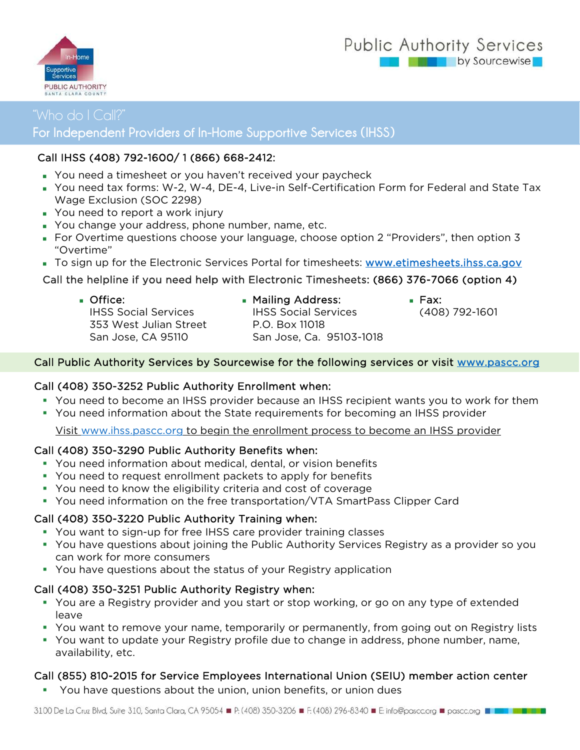### Public Authority Services by Sourcewise



# For Independent Providers of In-Home Supportive Services (IHSS)

#### Call IHSS (408) 792-1600/ 1 (866) 668-2412:

- You need a timesheet or you haven't received your paycheck
- You need tax forms: W-2, W-4, DE-4, Live-in Self-Certification Form for Federal and State Tax Wage Exclusion (SOC 2298)
- **You need to report a work injury**
- You change your address, phone number, name, etc.
- For Overtime questions choose your language, choose option 2 "Providers", then option 3 "Overtime"
- To sign up for the Electronic Services Portal for timesheets: www.etimesheets.ihss.ca.gov

#### Call the helpline if you need help with Electronic Timesheets: (866) 376-7066 (option 4)

- **Office:** IHSS Social Services 353 West Julian Street San Jose, CA 95110
- **Mailing Address:** IHSS Social Services

San Jose, Ca. 95103-1018

P.O. Box 11018

- Fax: (408) 792-1601
- Call Public Authority Services by Sourcewise for the following services or visit www.pascc.org

#### Call (408) 350-3252 Public Authority Enrollment when:

- You need to become an IHSS provider because an IHSS recipient wants you to work for them
- You need information about the State requirements for becoming an IHSS provider

Visit www.ihss.pascc.org to begin the enrollment process to become an IHSS provider

#### Call (408) 350-3290 Public Authority Benefits when:

- You need information about medical, dental, or vision benefits
- You need to request enrollment packets to apply for benefits
- You need to know the eligibility criteria and cost of coverage
- You need information on the free transportation/VTA SmartPass Clipper Card

#### Call (408) 350-3220 Public Authority Training when:

- You want to sign-up for free IHSS care provider training classes
- You have questions about joining the Public Authority Services Registry as a provider so you can work for more consumers
- You have questions about the status of your Registry application

#### Call (408) 350-3251 Public Authority Registry when:

- You are a Registry provider and you start or stop working, or go on any type of extended leave
- You want to remove your name, temporarily or permanently, from going out on Registry lists
- You want to update your Registry profile due to change in address, phone number, name, availability, etc.

#### Call (855) 810-2015 for Service Employees International Union (SEIU) member action center

You have questions about the union, union benefits, or union dues